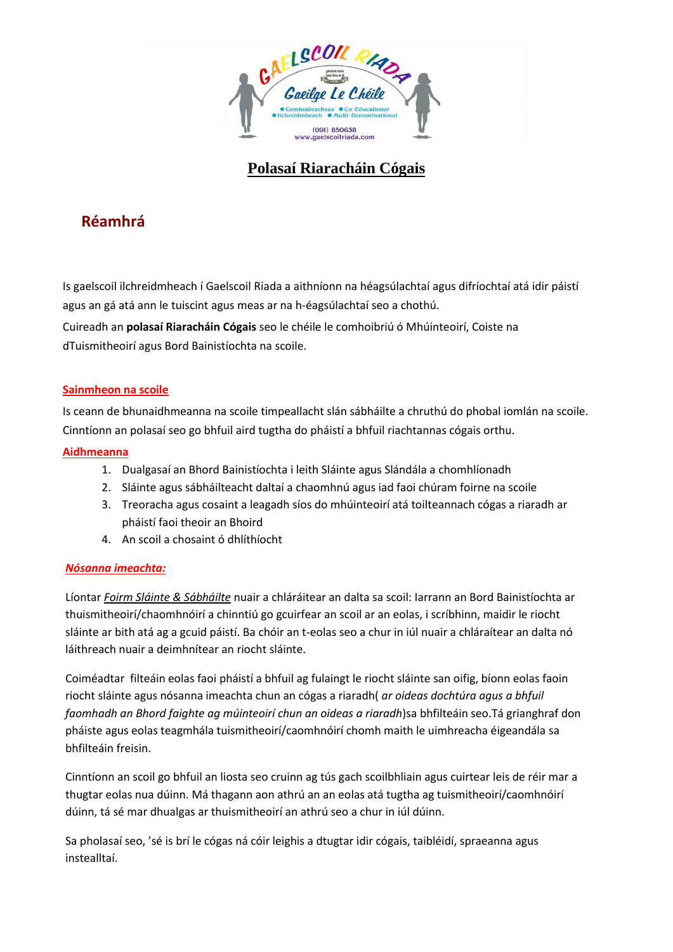

# **Polasaí Riaracháin Cógais**

## **Réamhrá**

Is gaelscoil ilchreidmheach í Gaelscoil Riada a aithníonn na héagsúlachtaí agus difríochtaí atá idir páistí agus an gá atá ann le tuiscint agus meas ar na h-éagsúlachtaí seo a chothú.

Cuireadh an **polasaí Riaracháin Cógais** seo le chéile le comhoibriú ó Mhúinteoirí, Coiste na dTuismitheoirí agus Bord Bainistíochta na scoile.

#### **Sainmheon na scoile**

Is ceann de bhunaidhmeanna na scoile timpeallacht slán sábháilte a chruthú do phobal iomlán na scoile. Cinntíonn an polasaí seo go bhfuil aird tugtha do pháistí a bhfuil riachtannas cógais orthu.

### **Aidhmeanna**

- 1. Dualgasaí an Bhord Bainistíochta i leith Sláinte agus Slándála a chomhlíonadh
- 2. Sláinte agus sábháilteacht daltaí a chaomhnú agus iad faoi chúram foirne na scoile
- 3. Treoracha agus cosaint a leagadh síos do mhúinteoirí atá toilteannach cógas a riaradh ar pháistí faoi theoir an Bhoird
- 4. An scoil a chosaint ó dhlíthíocht

#### *Nósanna imeachta:*

Líontar *Foirm Sláinte & Sábháilte* nuair a chláráitear an dalta sa scoil: Iarrann an Bord Bainistíochta ar thuismitheoirí/chaomhnóirí a chinntiú go gcuirfear an scoil ar an eolas, i scríbhinn, maidir le riocht sláinte ar bith atá ag a gcuid páistí. Ba chóir an t-eolas seo a chur in iúl nuair a chláraítear an dalta nó láithreach nuair a deimhnítear an riocht sláinte.

Coiméadtar filteáin eolas faoi pháistí a bhfuil ag fulaingt le riocht sláinte san oifig, bíonn eolas faoin riocht sláinte agus nósanna imeachta chun an cógas a riaradh( *ar oideas dochtúra agus a bhfuil faomhadh an Bhord faighte ag múinteoirí chun an oideas a riaradh*)sa bhfilteáin seo.Tá grianghraf don pháiste agus eolas teagmhála tuismitheoirí/caomhnóirí chomh maith le uimhreacha éigeandála sa bhfilteáin freisin.

Cinntíonn an scoil go bhfuil an liosta seo cruinn ag tús gach scoilbhliain agus cuirtear leis de réir mar a thugtar eolas nua dúinn. Má thagann aon athrú an an eolas atá tugtha ag tuismitheoirí/caomhnóirí dúinn, tá sé mar dhualgas ar thuismitheoirí an athrú seo a chur in iúl dúinn.

Sa pholasaí seo, 'sé is brí le cógas ná cóir leighis a dtugtar idir cógais, taibléidí, spraeanna agus instealltaí.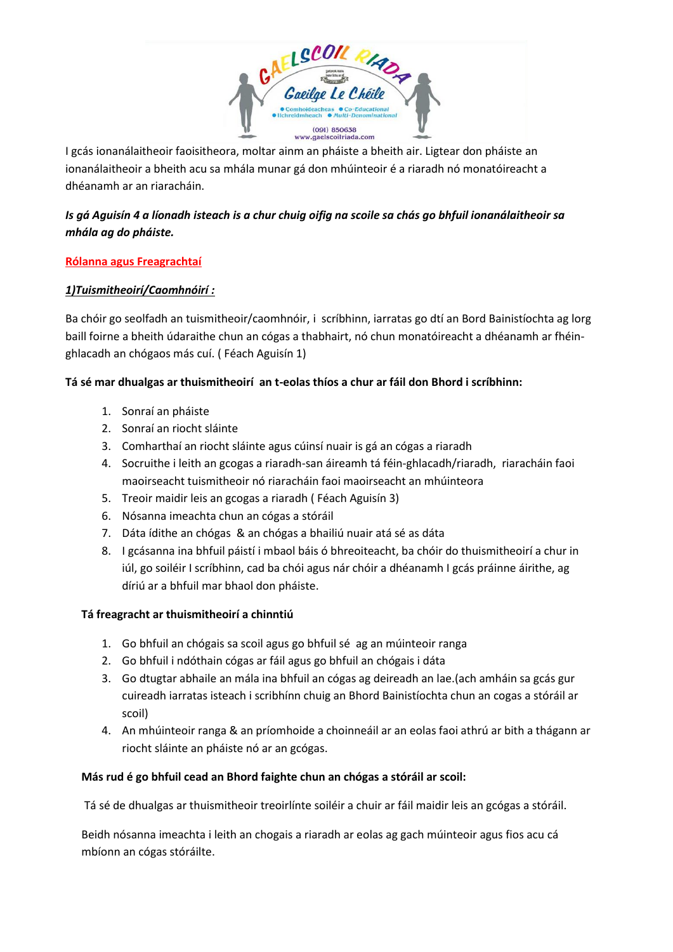

I gcás ionanálaitheoir faoisitheora, moltar ainm an pháiste a bheith air. Ligtear don pháiste an ionanálaitheoir a bheith acu sa mhála munar gá don mhúinteoir é a riaradh nó monatóireacht a dhéanamh ar an riaracháin.

## *Is gá Aguisín 4 a líonadh isteach is a chur chuig oifig na scoile sa chás go bhfuil ionanálaitheoir sa mhála ag do pháiste.*

### **Rólanna agus Freagrachtaí**

### *1)Tuismitheoirí/Caomhnóirí :*

Ba chóir go seolfadh an tuismitheoir/caomhnóir, i scríbhinn, iarratas go dtí an Bord Bainistíochta ag lorg baill foirne a bheith údaraithe chun an cógas a thabhairt, nó chun monatóireacht a dhéanamh ar fhéinghlacadh an chógaos más cuí. ( Féach Aguisín 1)

### **Tá sé mar dhualgas ar thuismitheoirí an t-eolas thíos a chur ar fáil don Bhord i scríbhinn:**

- 1. Sonraí an pháiste
- 2. Sonraí an riocht sláinte
- 3. Comharthaí an riocht sláinte agus cúinsí nuair is gá an cógas a riaradh
- 4. Socruithe i leith an gcogas a riaradh-san áireamh tá féin-ghlacadh/riaradh, riaracháin faoi maoirseacht tuismitheoir nó riaracháin faoi maoirseacht an mhúinteora
- 5. Treoir maidir leis an gcogas a riaradh ( Féach Aguisín 3)
- 6. Nósanna imeachta chun an cógas a stóráil
- 7. Dáta ídithe an chógas & an chógas a bhailiú nuair atá sé as dáta
- 8. I gcásanna ina bhfuil páistí i mbaol báis ó bhreoiteacht, ba chóir do thuismitheoirí a chur in iúl, go soiléir I scríbhinn, cad ba chói agus nár chóir a dhéanamh I gcás práinne áirithe, ag díriú ar a bhfuil mar bhaol don pháiste.

## **Tá freagracht ar thuismitheoirí a chinntiú**

- 1. Go bhfuil an chógais sa scoil agus go bhfuil sé ag an múinteoir ranga
- 2. Go bhfuil i ndóthain cógas ar fáil agus go bhfuil an chógais i dáta
- 3. Go dtugtar abhaile an mála ina bhfuil an cógas ag deireadh an lae.(ach amháin sa gcás gur cuireadh iarratas isteach i scribhínn chuig an Bhord Bainistíochta chun an cogas a stóráil ar scoil)
- 4. An mhúinteoir ranga & an príomhoide a choinneáil ar an eolas faoi athrú ar bith a thágann ar riocht sláinte an pháiste nó ar an gcógas.

#### **Más rud é go bhfuil cead an Bhord faighte chun an chógas a stóráil ar scoil:**

Tá sé de dhualgas ar thuismitheoir treoirlínte soiléir a chuir ar fáil maidir leis an gcógas a stóráil.

Beidh nósanna imeachta i leith an chogais a riaradh ar eolas ag gach múinteoir agus fios acu cá mbíonn an cógas stóráilte.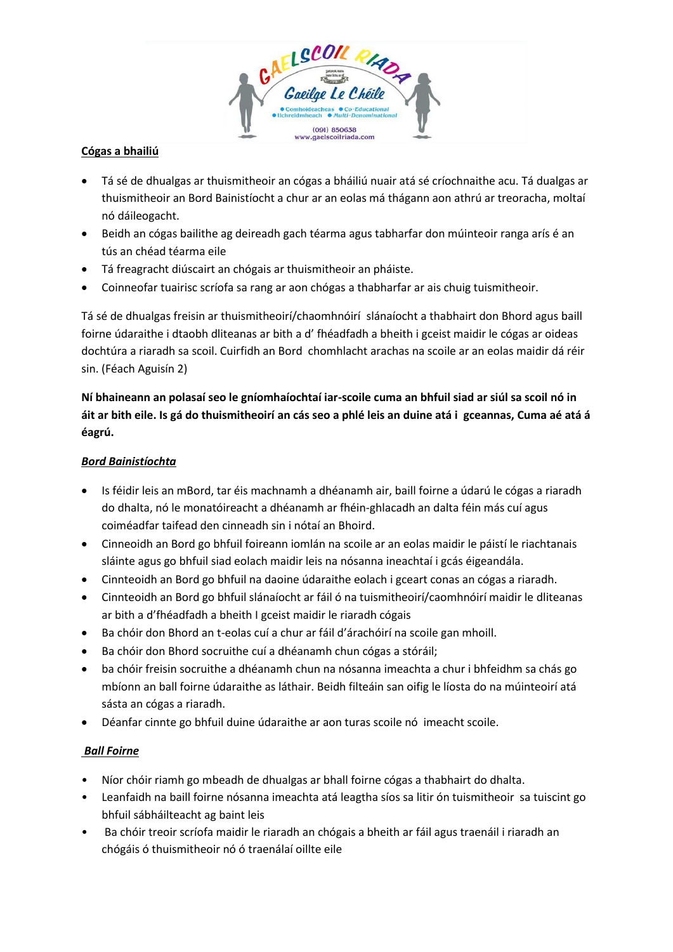

### **Cógas a bhailiú**

- Tá sé de dhualgas ar thuismitheoir an cógas a bháiliú nuair atá sé críochnaithe acu. Tá dualgas ar thuismitheoir an Bord Bainistíocht a chur ar an eolas má thágann aon athrú ar treoracha, moltaí nó dáileogacht.
- Beidh an cógas bailithe ag deireadh gach téarma agus tabharfar don múinteoir ranga arís é an tús an chéad téarma eile
- Tá freagracht diúscairt an chógais ar thuismitheoir an pháiste.
- Coinneofar tuairisc scríofa sa rang ar aon chógas a thabharfar ar ais chuig tuismitheoir.

Tá sé de dhualgas freisin ar thuismitheoirí/chaomhnóirí slánaíocht a thabhairt don Bhord agus baill foirne údaraithe i dtaobh dliteanas ar bith a d' fhéadfadh a bheith i gceist maidir le cógas ar oideas dochtúra a riaradh sa scoil. Cuirfidh an Bord chomhlacht arachas na scoile ar an eolas maidir dá réir sin. (Féach Aguisín 2)

**Ní bhaineann an polasaí seo le gníomhaíochtaí iar-scoile cuma an bhfuil siad ar siúl sa scoil nó in áit ar bith eile. Is gá do thuismitheoirí an cás seo a phlé leis an duine atá i gceannas, Cuma aé atá á éagrú.**

#### *Bord Bainistíochta*

- Is féidir leis an mBord, tar éis machnamh a dhéanamh air, baill foirne a údarú le cógas a riaradh do dhalta, nó le monatóireacht a dhéanamh ar fhéin-ghlacadh an dalta féin más cuí agus coiméadfar taifead den cinneadh sin i nótaí an Bhoird.
- Cinneoidh an Bord go bhfuil foireann iomlán na scoile ar an eolas maidir le páistí le riachtanais sláinte agus go bhfuil siad eolach maidir leis na nósanna ineachtaí i gcás éigeandála.
- Cinnteoidh an Bord go bhfuil na daoine údaraithe eolach i gceart conas an cógas a riaradh.
- Cinnteoidh an Bord go bhfuil slánaíocht ar fáil ó na tuismitheoirí/caomhnóirí maidir le dliteanas ar bith a d'fhéadfadh a bheith I gceist maidir le riaradh cógais
- Ba chóir don Bhord an t-eolas cuí a chur ar fáil d'árachóirí na scoile gan mhoill.
- Ba chóir don Bhord socruithe cuí a dhéanamh chun cógas a stóráil;
- ba chóir freisin socruithe a dhéanamh chun na nósanna imeachta a chur i bhfeidhm sa chás go mbíonn an ball foirne údaraithe as láthair. Beidh filteáin san oifig le líosta do na múinteoirí atá sásta an cógas a riaradh.
- Déanfar cinnte go bhfuil duine údaraithe ar aon turas scoile nó imeacht scoile.

#### *Ball Foirne*

- Níor chóir riamh go mbeadh de dhualgas ar bhall foirne cógas a thabhairt do dhalta.
- Leanfaidh na baill foirne nósanna imeachta atá leagtha síos sa litir ón tuismitheoir sa tuiscint go bhfuil sábháilteacht ag baint leis
- Ba chóir treoir scríofa maidir le riaradh an chógais a bheith ar fáil agus traenáil i riaradh an chógáis ó thuismitheoir nó ó traenálaí oillte eile